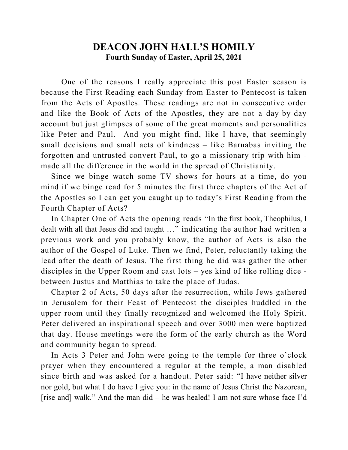## **DEACON JOHN HALL'S HOMILY Fourth Sunday of Easter, April 25, 2021**

 One of the reasons I really appreciate this post Easter season is because the First Reading each Sunday from Easter to Pentecost is taken from the Acts of Apostles. These readings are not in consecutive order and like the Book of Acts of the Apostles, they are not a day-by-day account but just glimpses of some of the great moments and personalities like Peter and Paul. And you might find, like I have, that seemingly small decisions and small acts of kindness – like Barnabas inviting the forgotten and untrusted convert Paul, to go a missionary trip with him made all the difference in the world in the spread of Christianity.

 Since we binge watch some TV shows for hours at a time, do you mind if we binge read for 5 minutes the first three chapters of the Act of the Apostles so I can get you caught up to today's First Reading from the Fourth Chapter of Acts?

 In Chapter One of Acts the opening reads "In the first book, Theophilus, I dealt with all that Jesus did and taught …" indicating the author had written a previous work and you probably know, the author of Acts is also the author of the Gospel of Luke. Then we find, Peter, reluctantly taking the lead after the death of Jesus. The first thing he did was gather the other disciples in the Upper Room and cast lots – yes kind of like rolling dice between Justus and Matthias to take the place of Judas.

 Chapter 2 of Acts, 50 days after the resurrection, while Jews gathered in Jerusalem for their Feast of Pentecost the disciples huddled in the upper room until they finally recognized and welcomed the Holy Spirit. Peter delivered an inspirational speech and over 3000 men were baptized that day. House meetings were the form of the early church as the Word and community began to spread.

 In Acts 3 Peter and John were going to the temple for three o'clock prayer when they encountered a regular at the temple, a man disabled since birth and was asked for a handout. Peter said: "I have neither silver nor gold, but what I do have I give you: in the name of Jesus Christ the Nazorean, [rise and] walk." And the man did – he was healed! I am not sure whose face I'd